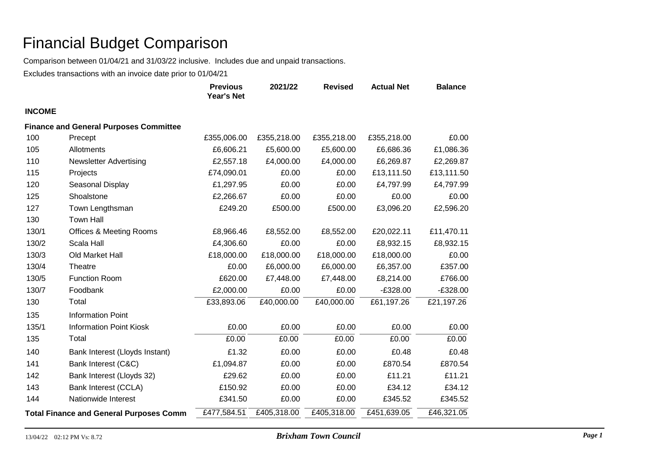Comparison between 01/04/21 and 31/03/22 inclusive. Includes due and unpaid transactions.

|                                                |                                               | <b>Previous</b><br><b>Year's Net</b> | 2021/22     | <b>Revised</b> | <b>Actual Net</b> | <b>Balance</b> |
|------------------------------------------------|-----------------------------------------------|--------------------------------------|-------------|----------------|-------------------|----------------|
| <b>INCOME</b>                                  |                                               |                                      |             |                |                   |                |
|                                                | <b>Finance and General Purposes Committee</b> |                                      |             |                |                   |                |
| 100                                            | Precept                                       | £355,006.00                          | £355,218.00 | £355,218.00    | £355,218.00       | £0.00          |
| 105                                            | Allotments                                    | £6,606.21                            | £5,600.00   | £5,600.00      | £6,686.36         | £1,086.36      |
| 110                                            | <b>Newsletter Advertising</b>                 | £2,557.18                            | £4,000.00   | £4,000.00      | £6,269.87         | £2,269.87      |
| 115                                            | Projects                                      | £74,090.01                           | £0.00       | £0.00          | £13,111.50        | £13,111.50     |
| 120                                            | Seasonal Display                              | £1,297.95                            | £0.00       | £0.00          | £4,797.99         | £4,797.99      |
| 125                                            | Shoalstone                                    | £2,266.67                            | £0.00       | £0.00          | £0.00             | £0.00          |
| 127                                            | Town Lengthsman                               | £249.20                              | £500.00     | £500.00        | £3,096.20         | £2,596.20      |
| 130                                            | <b>Town Hall</b>                              |                                      |             |                |                   |                |
| 130/1                                          | <b>Offices &amp; Meeting Rooms</b>            | £8,966.46                            | £8,552.00   | £8,552.00      | £20,022.11        | £11,470.11     |
| 130/2                                          | Scala Hall                                    | £4,306.60                            | £0.00       | £0.00          | £8,932.15         | £8,932.15      |
| 130/3                                          | Old Market Hall                               | £18,000.00                           | £18,000.00  | £18,000.00     | £18,000.00        | £0.00          |
| 130/4                                          | Theatre                                       | £0.00                                | £6,000.00   | £6,000.00      | £6,357.00         | £357.00        |
| 130/5                                          | <b>Function Room</b>                          | £620.00                              | £7,448.00   | £7,448.00      | £8,214.00         | £766.00        |
| 130/7                                          | Foodbank                                      | £2,000.00                            | £0.00       | £0.00          | $-£328.00$        | $-£328.00$     |
| 130                                            | Total                                         | £33,893.06                           | £40,000.00  | £40,000.00     | £61,197.26        | £21,197.26     |
| 135                                            | <b>Information Point</b>                      |                                      |             |                |                   |                |
| 135/1                                          | <b>Information Point Kiosk</b>                | £0.00                                | £0.00       | £0.00          | £0.00             | £0.00          |
| 135                                            | Total                                         | £0.00                                | £0.00       | £0.00          | £0.00             | £0.00          |
| 140                                            | Bank Interest (Lloyds Instant)                | £1.32                                | £0.00       | £0.00          | £0.48             | £0.48          |
| 141                                            | Bank Interest (C&C)                           | £1,094.87                            | £0.00       | £0.00          | £870.54           | £870.54        |
| 142                                            | Bank Interest (Lloyds 32)                     | £29.62                               | £0.00       | £0.00          | £11.21            | £11.21         |
| 143                                            | Bank Interest (CCLA)                          | £150.92                              | £0.00       | £0.00          | £34.12            | £34.12         |
| 144                                            | Nationwide Interest                           | £341.50                              | £0.00       | £0.00          | £345.52           | £345.52        |
| <b>Total Finance and General Purposes Comm</b> |                                               | £477,584.51                          | £405,318.00 | £405,318.00    | £451,639.05       | £46,321.05     |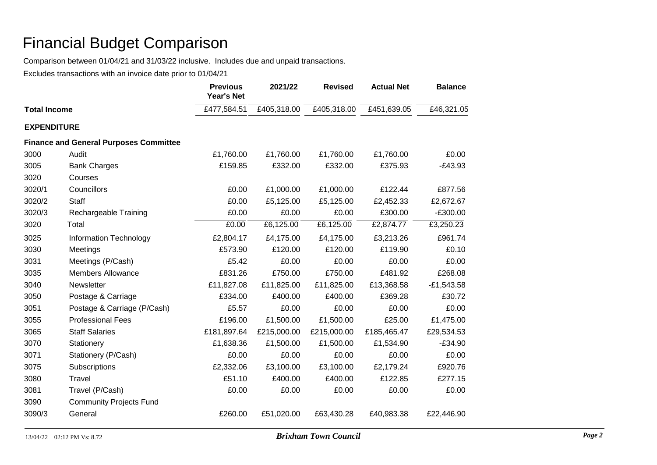Comparison between 01/04/21 and 31/03/22 inclusive. Includes due and unpaid transactions.

|                     |                                               | <b>Previous</b><br><b>Year's Net</b> | 2021/22     | <b>Revised</b> | <b>Actual Net</b> | <b>Balance</b> |
|---------------------|-----------------------------------------------|--------------------------------------|-------------|----------------|-------------------|----------------|
| <b>Total Income</b> |                                               | £477,584.51                          | £405,318.00 | £405,318.00    | £451,639.05       | £46,321.05     |
| <b>EXPENDITURE</b>  |                                               |                                      |             |                |                   |                |
|                     | <b>Finance and General Purposes Committee</b> |                                      |             |                |                   |                |
| 3000                | Audit                                         | £1,760.00                            | £1,760.00   | £1,760.00      | £1,760.00         | £0.00          |
| 3005                | <b>Bank Charges</b>                           | £159.85                              | £332.00     | £332.00        | £375.93           | $-E43.93$      |
| 3020                | Courses                                       |                                      |             |                |                   |                |
| 3020/1              | Councillors                                   | £0.00                                | £1,000.00   | £1,000.00      | £122.44           | £877.56        |
| 3020/2              | <b>Staff</b>                                  | £0.00                                | £5,125.00   | £5,125.00      | £2,452.33         | £2,672.67      |
| 3020/3              | Rechargeable Training                         | £0.00                                | £0.00       | £0.00          | £300.00           | $-£300.00$     |
| 3020                | Total                                         | £0.00                                | £6,125.00   | £6,125.00      | £2,874.77         | £3,250.23      |
| 3025                | <b>Information Technology</b>                 | £2,804.17                            | £4,175.00   | £4,175.00      | £3,213.26         | £961.74        |
| 3030                | Meetings                                      | £573.90                              | £120.00     | £120.00        | £119.90           | £0.10          |
| 3031                | Meetings (P/Cash)                             | £5.42                                | £0.00       | £0.00          | £0.00             | £0.00          |
| 3035                | <b>Members Allowance</b>                      | £831.26                              | £750.00     | £750.00        | £481.92           | £268.08        |
| 3040                | Newsletter                                    | £11,827.08                           | £11,825.00  | £11,825.00     | £13,368.58        | $-E1,543.58$   |
| 3050                | Postage & Carriage                            | £334.00                              | £400.00     | £400.00        | £369.28           | £30.72         |
| 3051                | Postage & Carriage (P/Cash)                   | £5.57                                | £0.00       | £0.00          | £0.00             | £0.00          |
| 3055                | <b>Professional Fees</b>                      | £196.00                              | £1,500.00   | £1,500.00      | £25.00            | £1,475.00      |
| 3065                | <b>Staff Salaries</b>                         | £181,897.64                          | £215,000.00 | £215,000.00    | £185,465.47       | £29,534.53     |
| 3070                | Stationery                                    | £1,638.36                            | £1,500.00   | £1,500.00      | £1,534.90         | $-£34.90$      |
| 3071                | Stationery (P/Cash)                           | £0.00                                | £0.00       | £0.00          | £0.00             | £0.00          |
| 3075                | Subscriptions                                 | £2,332.06                            | £3,100.00   | £3,100.00      | £2,179.24         | £920.76        |
| 3080                | Travel                                        | £51.10                               | £400.00     | £400.00        | £122.85           | £277.15        |
| 3081                | Travel (P/Cash)                               | £0.00                                | £0.00       | £0.00          | £0.00             | £0.00          |
| 3090                | <b>Community Projects Fund</b>                |                                      |             |                |                   |                |
| 3090/3              | General                                       | £260.00                              | £51,020.00  | £63,430.28     | £40,983.38        | £22,446.90     |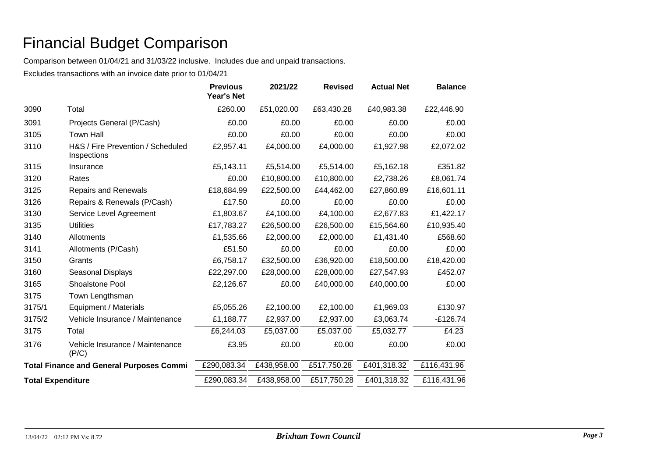Comparison between 01/04/21 and 31/03/22 inclusive. Includes due and unpaid transactions.

|                          |                                                  | <b>Previous</b><br>Year's Net | 2021/22     | <b>Revised</b> | <b>Actual Net</b> | <b>Balance</b> |
|--------------------------|--------------------------------------------------|-------------------------------|-------------|----------------|-------------------|----------------|
| 3090                     | Total                                            | £260.00                       | £51,020.00  | £63,430.28     | £40,983.38        | £22,446.90     |
| 3091                     | Projects General (P/Cash)                        | £0.00                         | £0.00       | £0.00          | £0.00             | £0.00          |
| 3105                     | <b>Town Hall</b>                                 | £0.00                         | £0.00       | £0.00          | £0.00             | £0.00          |
| 3110                     | H&S / Fire Prevention / Scheduled<br>Inspections | £2,957.41                     | £4,000.00   | £4,000.00      | £1,927.98         | £2,072.02      |
| 3115                     | Insurance                                        | £5,143.11                     | £5,514.00   | £5,514.00      | £5,162.18         | £351.82        |
| 3120                     | Rates                                            | £0.00                         | £10,800.00  | £10,800.00     | £2,738.26         | £8,061.74      |
| 3125                     | <b>Repairs and Renewals</b>                      | £18,684.99                    | £22,500.00  | £44,462.00     | £27,860.89        | £16,601.11     |
| 3126                     | Repairs & Renewals (P/Cash)                      | £17.50                        | £0.00       | £0.00          | £0.00             | £0.00          |
| 3130                     | Service Level Agreement                          | £1,803.67                     | £4,100.00   | £4,100.00      | £2,677.83         | £1,422.17      |
| 3135                     | <b>Utilities</b>                                 | £17,783.27                    | £26,500.00  | £26,500.00     | £15,564.60        | £10,935.40     |
| 3140                     | Allotments                                       | £1,535.66                     | £2,000.00   | £2,000.00      | £1,431.40         | £568.60        |
| 3141                     | Allotments (P/Cash)                              | £51.50                        | £0.00       | £0.00          | £0.00             | £0.00          |
| 3150                     | Grants                                           | £6,758.17                     | £32,500.00  | £36,920.00     | £18,500.00        | £18,420.00     |
| 3160                     | Seasonal Displays                                | £22,297.00                    | £28,000.00  | £28,000.00     | £27,547.93        | £452.07        |
| 3165                     | Shoalstone Pool                                  | £2,126.67                     | £0.00       | £40,000.00     | £40,000.00        | £0.00          |
| 3175                     | Town Lengthsman                                  |                               |             |                |                   |                |
| 3175/1                   | Equipment / Materials                            | £5,055.26                     | £2,100.00   | £2,100.00      | £1,969.03         | £130.97        |
| 3175/2                   | Vehicle Insurance / Maintenance                  | £1,188.77                     | £2,937.00   | £2,937.00      | £3,063.74         | $-£126.74$     |
| 3175                     | Total                                            | £6,244.03                     | £5,037.00   | £5,037.00      | £5,032.77         | £4.23          |
| 3176                     | Vehicle Insurance / Maintenance<br>(P/C)         | £3.95                         | £0.00       | £0.00          | £0.00             | £0.00          |
|                          | <b>Total Finance and General Purposes Commi</b>  | £290,083.34                   | £438,958.00 | £517,750.28    | £401,318.32       | £116,431.96    |
| <b>Total Expenditure</b> |                                                  | £290,083.34                   | £438,958.00 | £517,750.28    | £401,318.32       | £116,431.96    |